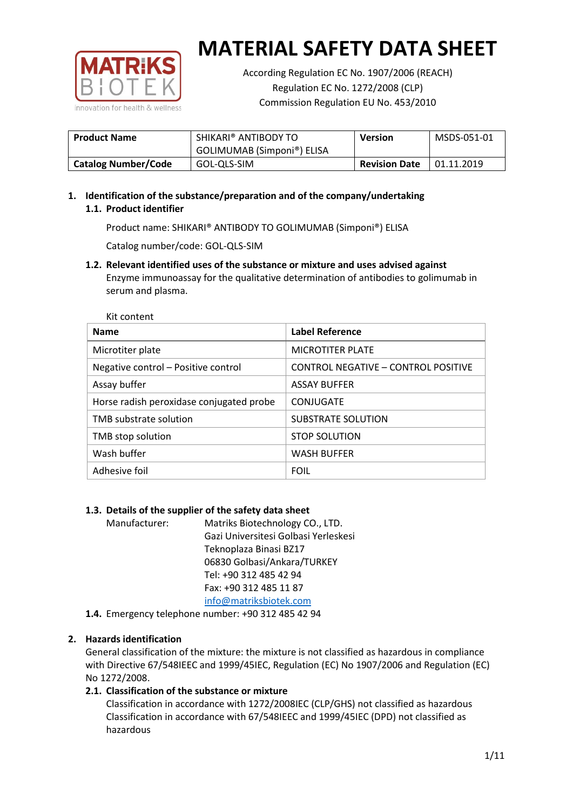

According Regulation EC No. 1907/2006 (REACH) Regulation EC No. 1272/2008 (CLP) Commission Regulation EU No. 453/2010

| <b>Product Name</b>        | SHIKARI® ANTIBODY TO       | Version              | MSDS-051-01 |
|----------------------------|----------------------------|----------------------|-------------|
|                            | GOLIMUMAB (Simponi®) ELISA |                      |             |
| <b>Catalog Number/Code</b> | GOL-QLS-SIM                | <b>Revision Date</b> | 01.11.2019  |

## **1. Identification of the substance/preparation and of the company/undertaking 1.1. Product identifier**

Product name: SHIKARI® ANTIBODY TO GOLIMUMAB (Simponi®) ELISA

Catalog number/code: GOL-QLS-SIM

**1.2. Relevant identified uses of the substance or mixture and uses advised against** Enzyme immunoassay for the qualitative determination of antibodies to golimumab in serum and plasma.

| Kit content                              |                                     |
|------------------------------------------|-------------------------------------|
| <b>Name</b>                              | <b>Label Reference</b>              |
| Microtiter plate                         | <b>MICROTITER PLATE</b>             |
| Negative control - Positive control      | CONTROL NEGATIVE - CONTROL POSITIVE |
| Assay buffer                             | <b>ASSAY BUFFER</b>                 |
| Horse radish peroxidase conjugated probe | CONJUGATE                           |
| TMB substrate solution                   | SUBSTRATE SOLUTION                  |
| TMB stop solution                        | <b>STOP SOLUTION</b>                |
| Wash buffer                              | <b>WASH BUFFER</b>                  |
| Adhesive foil                            | <b>FOIL</b>                         |

## **1.3. Details of the supplier of the safety data sheet**

Manufacturer: Matriks Biotechnology CO., LTD. Gazi Universitesi Golbasi Yerleskesi Teknoplaza Binasi BZ17 06830 Golbasi/Ankara/TURKEY Tel: +90 312 485 42 94 Fax: +90 312 485 11 87 [info@matriksbiotek.com](mailto:info@matriksbiotek.com)

**1.4.** Emergency telephone number: +90 312 485 42 94

## **2. Hazards identification**

General classification of the mixture: the mixture is not classified as hazardous in compliance with Directive 67/548IEEC and 1999/45IEC, Regulation (EC) No 1907/2006 and Regulation (EC) No 1272/2008.

## **2.1. Classification of the substance or mixture**

Classification in accordance with 1272/2008IEC (CLP/GHS) not classified as hazardous Classification in accordance with 67/548IEEC and 1999/45IEC (DPD) not classified as hazardous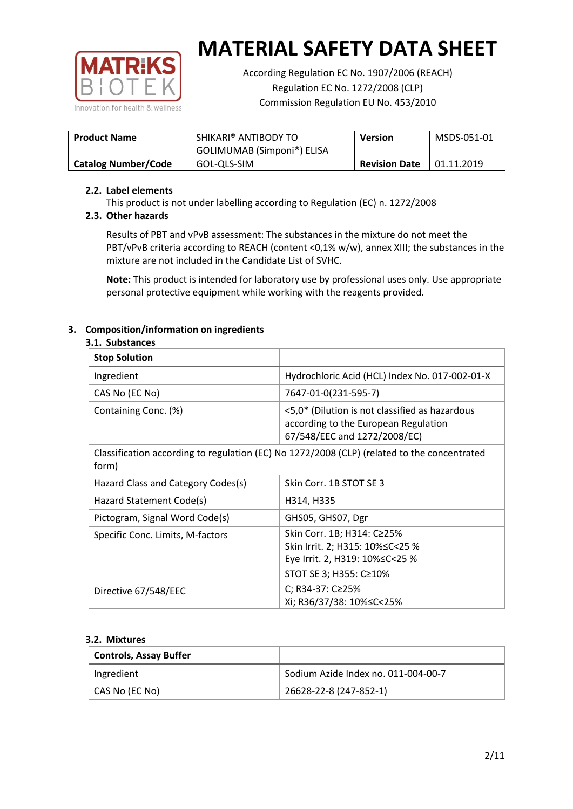

According Regulation EC No. 1907/2006 (REACH) Regulation EC No. 1272/2008 (CLP) Commission Regulation EU No. 453/2010

| <b>Product Name</b>        | SHIKARI® ANTIBODY TO<br>GOLIMUMAB (Simponi®) ELISA | <b>Version</b>       | MSDS-051-01       |
|----------------------------|----------------------------------------------------|----------------------|-------------------|
| <b>Catalog Number/Code</b> | GOL-QLS-SIM                                        | <b>Revision Date</b> | $\mid$ 01.11.2019 |

### **2.2. Label elements**

This product is not under labelling according to Regulation (EC) n. 1272/2008

## **2.3. Other hazards**

Results of PBT and vPvB assessment: The substances in the mixture do not meet the PBT/vPvB criteria according to REACH (content <0,1% w/w), annex XIII; the substances in the mixture are not included in the Candidate List of SVHC.

**Note:** This product is intended for laboratory use by professional uses only. Use appropriate personal protective equipment while working with the reagents provided.

## **3. Composition/information on ingredients**

### **3.1. Substances**

| <b>Stop Solution</b>                                                                                 |                                                                                                                           |
|------------------------------------------------------------------------------------------------------|---------------------------------------------------------------------------------------------------------------------------|
| Ingredient                                                                                           | Hydrochloric Acid (HCL) Index No. 017-002-01-X                                                                            |
| CAS No (EC No)                                                                                       | 7647-01-0(231-595-7)                                                                                                      |
| Containing Conc. (%)                                                                                 | <5,0* (Dilution is not classified as hazardous<br>according to the European Regulation<br>67/548/EEC and 1272/2008/EC)    |
| Classification according to regulation (EC) No 1272/2008 (CLP) (related to the concentrated<br>form) |                                                                                                                           |
| Hazard Class and Category Codes(s)                                                                   | Skin Corr. 1B STOT SE 3                                                                                                   |
| Hazard Statement Code(s)                                                                             | H314, H335                                                                                                                |
| Pictogram, Signal Word Code(s)                                                                       | GHS05, GHS07, Dgr                                                                                                         |
| Specific Conc. Limits, M-factors                                                                     | Skin Corr. 1B; H314: C≥25%<br>Skin Irrit. 2; H315: 10%≤C<25 %<br>Eye Irrit. 2, H319: 10%≤C<25 %<br>STOT SE 3; H355: C≥10% |
| Directive 67/548/EEC                                                                                 | C; R34-37: C≥25%<br>Xi; R36/37/38: 10% <<<<<<<                                                                            |

#### **3.2. Mixtures**

| <b>Controls, Assay Buffer</b> |                                     |
|-------------------------------|-------------------------------------|
| Ingredient                    | Sodium Azide Index no. 011-004-00-7 |
| CAS No (EC No)                | 26628-22-8 (247-852-1)              |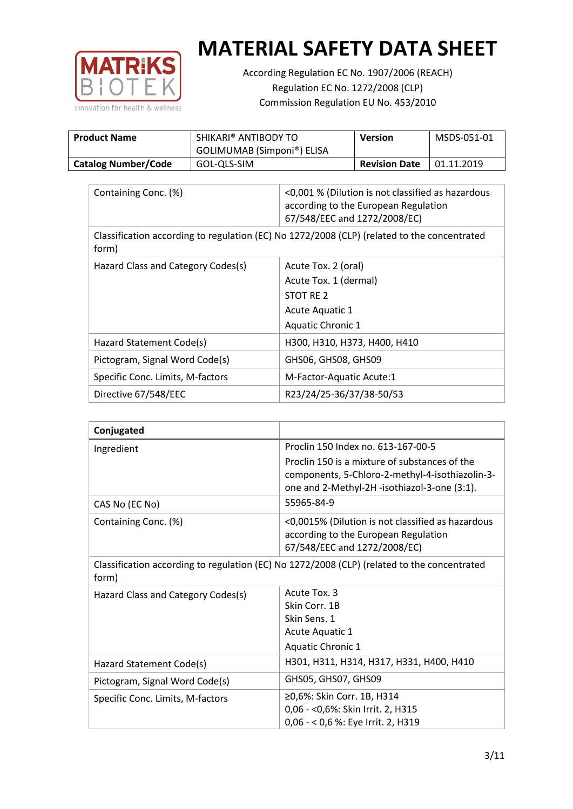

According Regulation EC No. 1907/2006 (REACH) Regulation EC No. 1272/2008 (CLP) Commission Regulation EU No. 453/2010

| <b>Product Name</b>        | SHIKARI® ANTIBODY TO<br>GOLIMUMAB (Simponi®) ELISA | <b>Version</b>       | MSDS-051-01 |
|----------------------------|----------------------------------------------------|----------------------|-------------|
| <b>Catalog Number/Code</b> | GOL-QLS-SIM                                        | <b>Revision Date</b> | 01.11.2019  |

| Containing Conc. (%)                                                                                 | <0,001 % (Dilution is not classified as hazardous<br>according to the European Regulation<br>67/548/EEC and 1272/2008/EC) |  |
|------------------------------------------------------------------------------------------------------|---------------------------------------------------------------------------------------------------------------------------|--|
| Classification according to regulation (EC) No 1272/2008 (CLP) (related to the concentrated<br>form) |                                                                                                                           |  |
| Hazard Class and Category Codes(s)                                                                   | Acute Tox. 2 (oral)                                                                                                       |  |
|                                                                                                      | Acute Tox. 1 (dermal)                                                                                                     |  |
|                                                                                                      | STOT RE 2                                                                                                                 |  |
|                                                                                                      | Acute Aquatic 1                                                                                                           |  |
|                                                                                                      | Aquatic Chronic 1                                                                                                         |  |
| Hazard Statement Code(s)                                                                             | H300, H310, H373, H400, H410                                                                                              |  |
| Pictogram, Signal Word Code(s)                                                                       | GHS06, GHS08, GHS09                                                                                                       |  |
| Specific Conc. Limits, M-factors                                                                     | M-Factor-Aquatic Acute:1                                                                                                  |  |
| Directive 67/548/EEC                                                                                 | R23/24/25-36/37/38-50/53                                                                                                  |  |

| Conjugated                         |                                                                                                                                                  |
|------------------------------------|--------------------------------------------------------------------------------------------------------------------------------------------------|
| Ingredient                         | Proclin 150 Index no. 613-167-00-5                                                                                                               |
|                                    | Proclin 150 is a mixture of substances of the<br>components, 5-Chloro-2-methyl-4-isothiazolin-3-<br>one and 2-Methyl-2H -isothiazol-3-one (3:1). |
| CAS No (EC No)                     | 55965-84-9                                                                                                                                       |
| Containing Conc. (%)               | <0,0015% (Dilution is not classified as hazardous<br>according to the European Regulation<br>67/548/EEC and 1272/2008/EC)                        |
| form)                              | Classification according to regulation (EC) No 1272/2008 (CLP) (related to the concentrated                                                      |
| Hazard Class and Category Codes(s) | Acute Tox. 3                                                                                                                                     |
|                                    | Skin Corr. 1B                                                                                                                                    |
|                                    | Skin Sens. 1                                                                                                                                     |
|                                    | <b>Acute Aquatic 1</b>                                                                                                                           |
|                                    | Aquatic Chronic 1                                                                                                                                |
| Hazard Statement Code(s)           | H301, H311, H314, H317, H331, H400, H410                                                                                                         |
| Pictogram, Signal Word Code(s)     | GHS05, GHS07, GHS09                                                                                                                              |
| Specific Conc. Limits, M-factors   | ≥0,6%: Skin Corr. 1B, H314<br>0,06 - < 0,6%: Skin Irrit. 2, H315<br>0,06 - < 0,6 %: Eye Irrit. 2, H319                                           |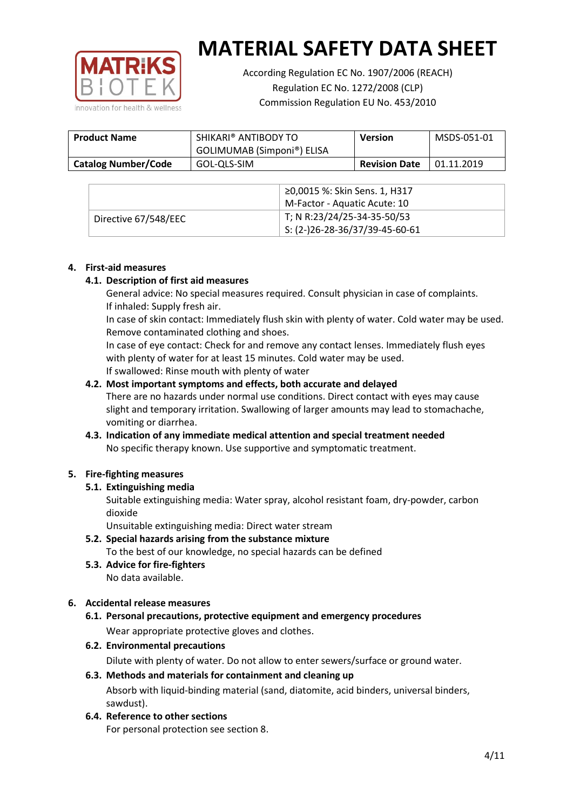

According Regulation EC No. 1907/2006 (REACH) Regulation EC No. 1272/2008 (CLP) Commission Regulation EU No. 453/2010

| <b>Product Name</b>        | SHIKARI® ANTIBODY TO<br>GOLIMUMAB (Simponi®) ELISA | <b>Version</b>       | MSDS-051-01 |
|----------------------------|----------------------------------------------------|----------------------|-------------|
| <b>Catalog Number/Code</b> | GOL-QLS-SIM                                        | <b>Revision Date</b> | 01.11.2019  |

|                      | ≥0,0015 %: Skin Sens. 1, H317    |
|----------------------|----------------------------------|
|                      | M-Factor - Aquatic Acute: 10     |
| Directive 67/548/EEC | T; N R:23/24/25-34-35-50/53      |
|                      | $5: (2-)26-28-36/37/39-45-60-61$ |

### **4. First-aid measures**

### **4.1. Description of first aid measures**

General advice: No special measures required. Consult physician in case of complaints. If inhaled: Supply fresh air.

In case of skin contact: Immediately flush skin with plenty of water. Cold water may be used. Remove contaminated clothing and shoes.

In case of eye contact: Check for and remove any contact lenses. Immediately flush eyes with plenty of water for at least 15 minutes. Cold water may be used. If swallowed: Rinse mouth with plenty of water

### **4.2. Most important symptoms and effects, both accurate and delayed**

There are no hazards under normal use conditions. Direct contact with eyes may cause slight and temporary irritation. Swallowing of larger amounts may lead to stomachache, vomiting or diarrhea.

## **4.3. Indication of any immediate medical attention and special treatment needed** No specific therapy known. Use supportive and symptomatic treatment.

## **5. Fire-fighting measures**

## **5.1. Extinguishing media**

Suitable extinguishing media: Water spray, alcohol resistant foam, dry-powder, carbon dioxide

Unsuitable extinguishing media: Direct water stream

- **5.2. Special hazards arising from the substance mixture** To the best of our knowledge, no special hazards can be defined
- **5.3. Advice for fire-fighters** No data available.

## **6. Accidental release measures**

- **6.1. Personal precautions, protective equipment and emergency procedures** Wear appropriate protective gloves and clothes.
- **6.2. Environmental precautions**

Dilute with plenty of water. Do not allow to enter sewers/surface or ground water.

#### **6.3. Methods and materials for containment and cleaning up**

Absorb with liquid-binding material (sand, diatomite, acid binders, universal binders, sawdust).

**6.4. Reference to other sections**

For personal protection see section 8.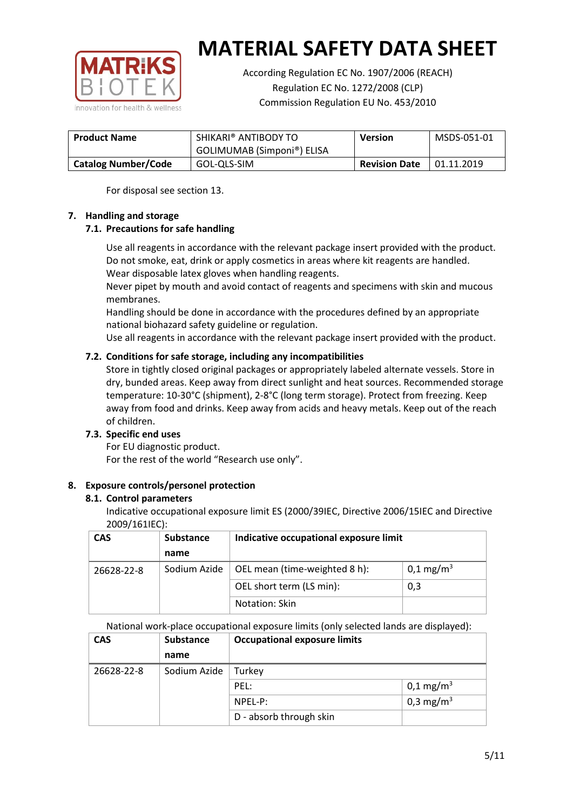

According Regulation EC No. 1907/2006 (REACH) Regulation EC No. 1272/2008 (CLP) Commission Regulation EU No. 453/2010

| <b>Product Name</b>        | SHIKARI® ANTIBODY TO<br>GOLIMUMAB (Simponi®) ELISA | <b>Version</b>       | MSDS-051-01 |
|----------------------------|----------------------------------------------------|----------------------|-------------|
| <b>Catalog Number/Code</b> | GOL-QLS-SIM                                        | <b>Revision Date</b> | 01.11.2019  |

For disposal see section 13.

## **7. Handling and storage**

## **7.1. Precautions for safe handling**

Use all reagents in accordance with the relevant package insert provided with the product. Do not smoke, eat, drink or apply cosmetics in areas where kit reagents are handled. Wear disposable latex gloves when handling reagents.

Never pipet by mouth and avoid contact of reagents and specimens with skin and mucous membranes.

Handling should be done in accordance with the procedures defined by an appropriate national biohazard safety guideline or regulation.

Use all reagents in accordance with the relevant package insert provided with the product.

## **7.2. Conditions for safe storage, including any incompatibilities**

Store in tightly closed original packages or appropriately labeled alternate vessels. Store in dry, bunded areas. Keep away from direct sunlight and heat sources. Recommended storage temperature: 10-30°C (shipment), 2-8°C (long term storage). Protect from freezing. Keep away from food and drinks. Keep away from acids and heavy metals. Keep out of the reach of children.

## **7.3. Specific end uses**

For EU diagnostic product. For the rest of the world "Research use only".

## **8. Exposure controls/personel protection**

#### **8.1. Control parameters**

Indicative occupational exposure limit ES (2000/39IEC, Directive 2006/15IEC and Directive 2009/161IEC):

| <b>CAS</b> | <b>Substance</b> | Indicative occupational exposure limit |                         |
|------------|------------------|----------------------------------------|-------------------------|
|            | name             |                                        |                         |
| 26628-22-8 | Sodium Azide     | OEL mean (time-weighted 8 h):          | $0,1 \,\mathrm{mg/m^3}$ |
|            |                  | OEL short term (LS min):               | 0,3                     |
|            |                  | Notation: Skin                         |                         |

National work-place occupational exposure limits (only selected lands are displayed):

| <b>CAS</b> | <b>Substance</b> | <b>Occupational exposure limits</b> |                         |
|------------|------------------|-------------------------------------|-------------------------|
|            | name             |                                     |                         |
| 26628-22-8 | Sodium Azide     | Turkey                              |                         |
|            |                  | PEL:                                | $0,1 \,\mathrm{mg/m^3}$ |
|            |                  | $NPEL-P$ :                          | 0,3 mg/m <sup>3</sup>   |
|            |                  | D - absorb through skin             |                         |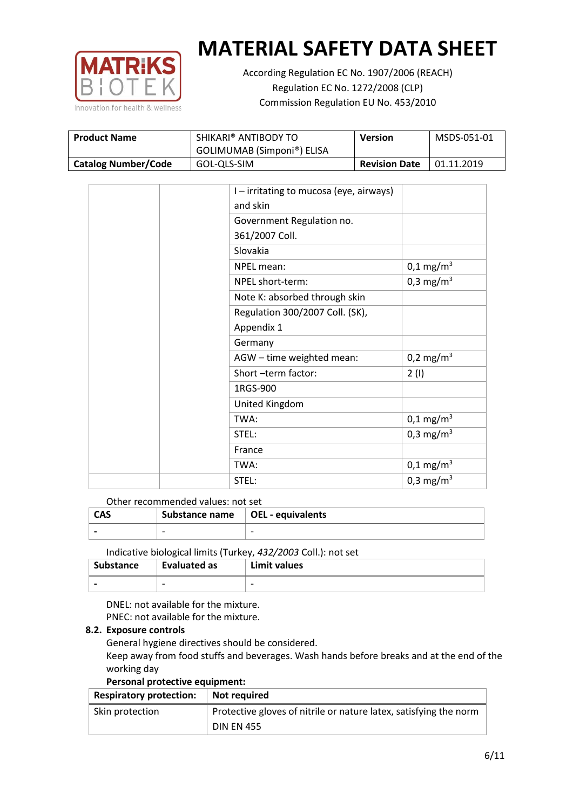

According Regulation EC No. 1907/2006 (REACH) Regulation EC No. 1272/2008 (CLP) Commission Regulation EU No. 453/2010

| SHIKARI® ANTIBODY TO<br><b>Product Name</b><br>GOLIMUMAB (Simponi®) ELISA |             | Version              | MSDS-051-01 |
|---------------------------------------------------------------------------|-------------|----------------------|-------------|
| <b>Catalog Number/Code</b>                                                | GOL-QLS-SIM | <b>Revision Date</b> | 01.11.2019  |

| I - irritating to mucosa (eye, airways) |                       |
|-----------------------------------------|-----------------------|
| and skin                                |                       |
| Government Regulation no.               |                       |
| 361/2007 Coll.                          |                       |
| Slovakia                                |                       |
| NPEL mean:                              | $0,1 \text{ mg/m}^3$  |
| NPEL short-term:                        | 0,3 mg/m <sup>3</sup> |
| Note K: absorbed through skin           |                       |
| Regulation 300/2007 Coll. (SK),         |                       |
| Appendix 1                              |                       |
| Germany                                 |                       |
| AGW - time weighted mean:               | 0,2 mg/m <sup>3</sup> |
| Short-term factor:                      | 2(1)                  |
| 1RGS-900                                |                       |
| United Kingdom                          |                       |
| TWA:                                    | $0,1 \text{ mg/m}^3$  |
| STEL:                                   | 0,3 mg/m <sup>3</sup> |
| France                                  |                       |
| TWA:                                    | $0,1 \text{ mg/m}^3$  |
| STEL:                                   | 0,3 mg/m <sup>3</sup> |

Other recommended values: not set

| <b>CAS</b> | Substance name   OEL - equivalents |   |
|------------|------------------------------------|---|
|            | $\overline{\phantom{0}}$           | - |
|            |                                    |   |

Indicative biological limits (Turkey, *432/2003* Coll.): not set

| Substance                | <b>Evaluated as</b>      | Limit values             |
|--------------------------|--------------------------|--------------------------|
| $\overline{\phantom{0}}$ | $\overline{\phantom{0}}$ | $\overline{\phantom{0}}$ |

DNEL: not available for the mixture. PNEC: not available for the mixture.

## **8.2. Exposure controls**

General hygiene directives should be considered.

Keep away from food stuffs and beverages. Wash hands before breaks and at the end of the working day

## **Personal protective equipment:**

| <b>Respiratory protection:</b> | Not required                                                      |
|--------------------------------|-------------------------------------------------------------------|
| Skin protection                | Protective gloves of nitrile or nature latex, satisfying the norm |
|                                | <b>DIN EN 455</b>                                                 |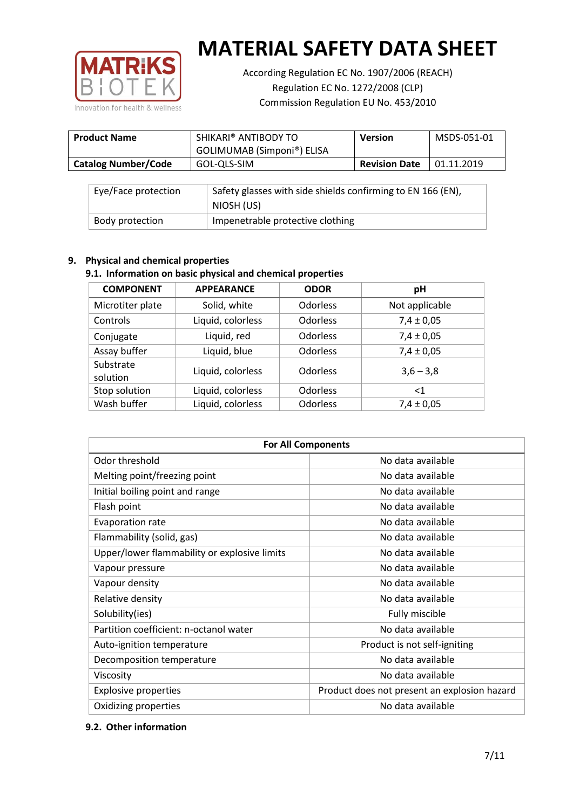

According Regulation EC No. 1907/2006 (REACH) Regulation EC No. 1272/2008 (CLP) Commission Regulation EU No. 453/2010

| <b>Product Name</b>        | SHIKARI® ANTIBODY TO<br>GOLIMUMAB (Simponi®) ELISA | <b>Version</b>       | MSDS-051-01 |
|----------------------------|----------------------------------------------------|----------------------|-------------|
| <b>Catalog Number/Code</b> | GOL-QLS-SIM                                        | <b>Revision Date</b> | 01.11.2019  |

| Eye/Face protection | Safety glasses with side shields confirming to EN 166 (EN),<br>NIOSH (US) |
|---------------------|---------------------------------------------------------------------------|
| Body protection     | Impenetrable protective clothing                                          |

## **9. Physical and chemical properties**

## **9.1. Information on basic physical and chemical properties**

| <b>COMPONENT</b>      | <b>APPEARANCE</b> | <b>ODOR</b>     | pH             |
|-----------------------|-------------------|-----------------|----------------|
| Microtiter plate      | Solid, white      | <b>Odorless</b> | Not applicable |
| Controls              | Liquid, colorless | <b>Odorless</b> | $7,4 \pm 0,05$ |
| Conjugate             | Liquid, red       | <b>Odorless</b> | $7,4 \pm 0,05$ |
| Assay buffer          | Liquid, blue      | <b>Odorless</b> | $7,4 \pm 0,05$ |
| Substrate<br>solution | Liquid, colorless | <b>Odorless</b> | $3,6 - 3,8$    |
| Stop solution         | Liquid, colorless | <b>Odorless</b> | ${<}1$         |
| Wash buffer           | Liquid, colorless | Odorless        | $7,4 \pm 0,05$ |

| <b>For All Components</b>                    |                                              |  |  |
|----------------------------------------------|----------------------------------------------|--|--|
| Odor threshold                               | No data available                            |  |  |
| Melting point/freezing point                 | No data available                            |  |  |
| Initial boiling point and range              | No data available                            |  |  |
| Flash point                                  | No data available                            |  |  |
| Evaporation rate                             | No data available                            |  |  |
| Flammability (solid, gas)                    | No data available                            |  |  |
| Upper/lower flammability or explosive limits | No data available                            |  |  |
| Vapour pressure                              | No data available                            |  |  |
| Vapour density                               | No data available                            |  |  |
| Relative density                             | No data available                            |  |  |
| Solubility(ies)                              | Fully miscible                               |  |  |
| Partition coefficient: n-octanol water       | No data available                            |  |  |
| Auto-ignition temperature                    | Product is not self-igniting                 |  |  |
| Decomposition temperature                    | No data available                            |  |  |
| Viscosity                                    | No data available                            |  |  |
| <b>Explosive properties</b>                  | Product does not present an explosion hazard |  |  |
| Oxidizing properties                         | No data available                            |  |  |

## **9.2. Other information**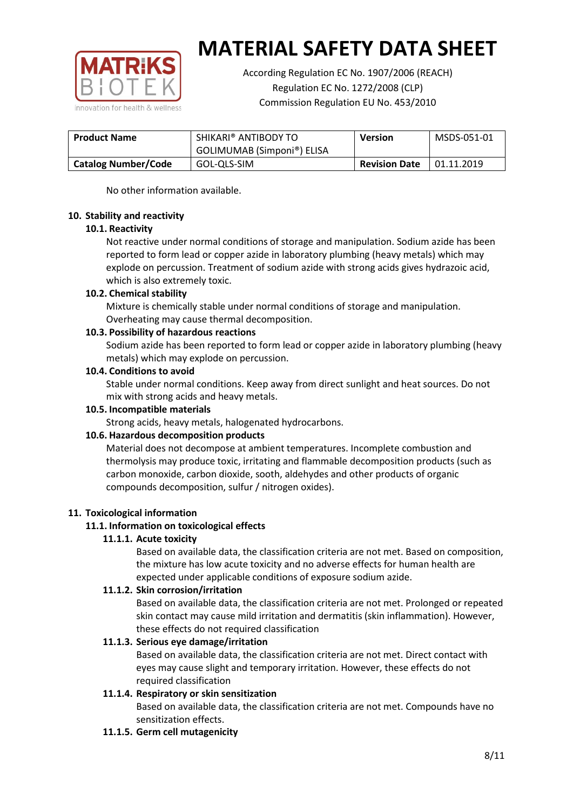

According Regulation EC No. 1907/2006 (REACH) Regulation EC No. 1272/2008 (CLP) Commission Regulation EU No. 453/2010

| SHIKARI® ANTIBODY TO<br><b>Product Name</b> |                                         | <b>Version</b>       | MSDS-051-01 |
|---------------------------------------------|-----------------------------------------|----------------------|-------------|
|                                             | <sup>'</sup> GOLIMUMAB (Simponi®) ELISA |                      |             |
| <b>Catalog Number/Code</b>                  | GOL-QLS-SIM                             | <b>Revision Date</b> | 01.11.2019  |

No other information available.

### **10. Stability and reactivity**

### **10.1. Reactivity**

Not reactive under normal conditions of storage and manipulation. Sodium azide has been reported to form lead or copper azide in laboratory plumbing (heavy metals) which may explode on percussion. Treatment of sodium azide with strong acids gives hydrazoic acid, which is also extremely toxic.

### **10.2. Chemical stability**

Mixture is chemically stable under normal conditions of storage and manipulation. Overheating may cause thermal decomposition.

### **10.3. Possibility of hazardous reactions**

Sodium azide has been reported to form lead or copper azide in laboratory plumbing (heavy metals) which may explode on percussion.

#### **10.4. Conditions to avoid**

Stable under normal conditions. Keep away from direct sunlight and heat sources. Do not mix with strong acids and heavy metals.

#### **10.5. Incompatible materials**

Strong acids, heavy metals, halogenated hydrocarbons.

## **10.6. Hazardous decomposition products**

Material does not decompose at ambient temperatures. Incomplete combustion and thermolysis may produce toxic, irritating and flammable decomposition products (such as carbon monoxide, carbon dioxide, sooth, aldehydes and other products of organic compounds decomposition, sulfur / nitrogen oxides).

## **11. Toxicological information**

## **11.1. Information on toxicological effects**

#### **11.1.1. Acute toxicity**

Based on available data, the classification criteria are not met. Based on composition, the mixture has low acute toxicity and no adverse effects for human health are expected under applicable conditions of exposure sodium azide.

#### **11.1.2. Skin corrosion/irritation**

Based on available data, the classification criteria are not met. Prolonged or repeated skin contact may cause mild irritation and dermatitis (skin inflammation). However, these effects do not required classification

## **11.1.3. Serious eye damage/irritation**

Based on available data, the classification criteria are not met. Direct contact with eyes may cause slight and temporary irritation. However, these effects do not required classification

## **11.1.4. Respiratory or skin sensitization**

Based on available data, the classification criteria are not met. Compounds have no sensitization effects.

#### **11.1.5. Germ cell mutagenicity**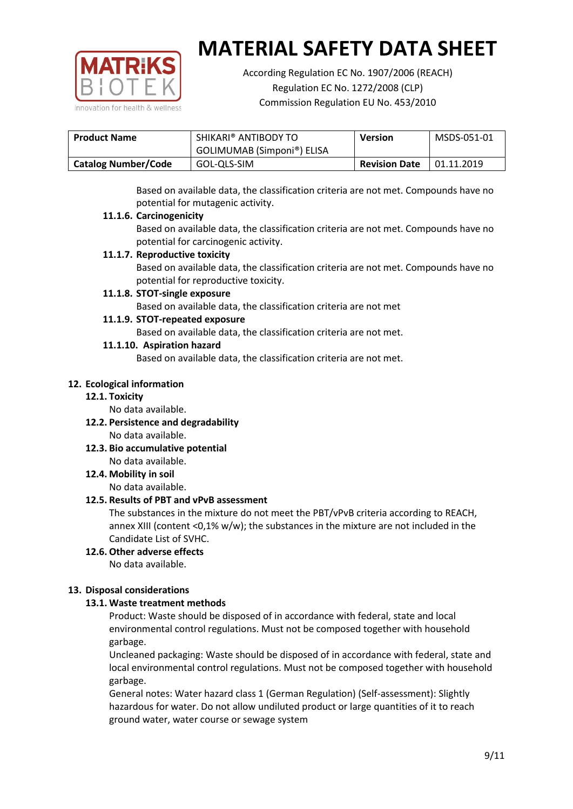

According Regulation EC No. 1907/2006 (REACH) Regulation EC No. 1272/2008 (CLP) Commission Regulation EU No. 453/2010

| <b>Product Name</b>        | SHIKARI® ANTIBODY TO       | <b>Version</b>       | MSDS-051-01 |
|----------------------------|----------------------------|----------------------|-------------|
|                            | GOLIMUMAB (Simponi®) ELISA |                      |             |
| <b>Catalog Number/Code</b> | GOL-QLS-SIM                | <b>Revision Date</b> | 01.11.2019  |

Based on available data, the classification criteria are not met. Compounds have no potential for mutagenic activity.

## **11.1.6. Carcinogenicity**

Based on available data, the classification criteria are not met. Compounds have no potential for carcinogenic activity.

### **11.1.7. Reproductive toxicity**

Based on available data, the classification criteria are not met. Compounds have no potential for reproductive toxicity.

### **11.1.8. STOT-single exposure**

Based on available data, the classification criteria are not met

### **11.1.9. STOT-repeated exposure**

Based on available data, the classification criteria are not met.

### **11.1.10. Aspiration hazard**

Based on available data, the classification criteria are not met.

### **12. Ecological information**

#### **12.1. Toxicity**

No data available.

- **12.2. Persistence and degradability** No data available.
- **12.3. Bio accumulative potential** No data available.

**12.4. Mobility in soil**

No data available.

## **12.5. Results of PBT and vPvB assessment**

The substances in the mixture do not meet the PBT/vPvB criteria according to REACH, annex XIII (content <0,1% w/w); the substances in the mixture are not included in the Candidate List of SVHC.

#### **12.6. Other adverse effects** No data available.

## **13. Disposal considerations**

## **13.1. Waste treatment methods**

Product: Waste should be disposed of in accordance with federal, state and local environmental control regulations. Must not be composed together with household garbage.

Uncleaned packaging: Waste should be disposed of in accordance with federal, state and local environmental control regulations. Must not be composed together with household garbage.

General notes: Water hazard class 1 (German Regulation) (Self-assessment): Slightly hazardous for water. Do not allow undiluted product or large quantities of it to reach ground water, water course or sewage system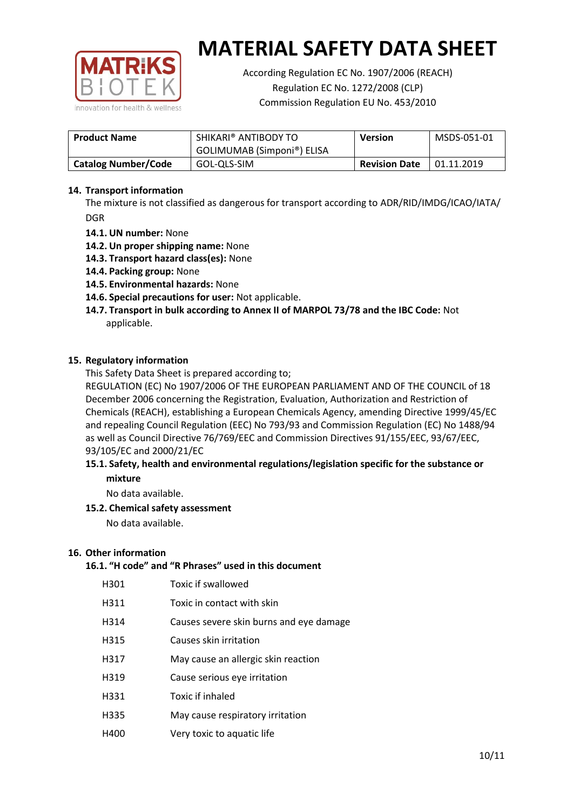

According Regulation EC No. 1907/2006 (REACH) Regulation EC No. 1272/2008 (CLP) Commission Regulation EU No. 453/2010

| <b>Product Name</b>        | SHIKARI® ANTIBODY TO<br><b>Version</b><br>GOLIMUMAB (Simponi®) ELISA |  | MSDS-051-01 |
|----------------------------|----------------------------------------------------------------------|--|-------------|
| <b>Catalog Number/Code</b> | <b>Revision Date</b><br>GOL-QLS-SIM                                  |  | 01.11.2019  |

## **14. Transport information**

The mixture is not classified as dangerous for transport according to ADR/RID/IMDG/ICAO/IATA/ DGR

- **14.1. UN number:** None
- **14.2. Un proper shipping name:** None
- **14.3. Transport hazard class(es):** None
- **14.4. Packing group:** None
- **14.5. Environmental hazards:** None
- **14.6. Special precautions for user:** Not applicable.
- **14.7. Transport in bulk according to Annex II of MARPOL 73/78 and the IBC Code:** Not applicable.

#### **15. Regulatory information**

This Safety Data Sheet is prepared according to;

REGULATION (EC) No 1907/2006 OF THE EUROPEAN PARLIAMENT AND OF THE COUNCIL of 18 December 2006 concerning the Registration, Evaluation, Authorization and Restriction of Chemicals (REACH), establishing a European Chemicals Agency, amending Directive 1999/45/EC and repealing Council Regulation (EEC) No 793/93 and Commission Regulation (EC) No 1488/94 as well as Council Directive 76/769/EEC and Commission Directives 91/155/EEC, 93/67/EEC, 93/105/EC and 2000/21/EC

### **15.1. Safety, health and environmental regulations/legislation specific for the substance or mixture**

No data available.

## **15.2. Chemical safety assessment**

No data available.

#### **16. Other information**

## **16.1. "H code" and "R Phrases" used in this document**

| H301 | Toxic if swallowed |
|------|--------------------|
|------|--------------------|

- H311 Toxic in contact with skin
- H314 Causes severe skin burns and eye damage
- H315 Causes skin irritation
- H317 May cause an allergic skin reaction
- H319 Cause serious eye irritation
- H331 Toxic if inhaled
- H335 May cause respiratory irritation
- H400 Very toxic to aquatic life